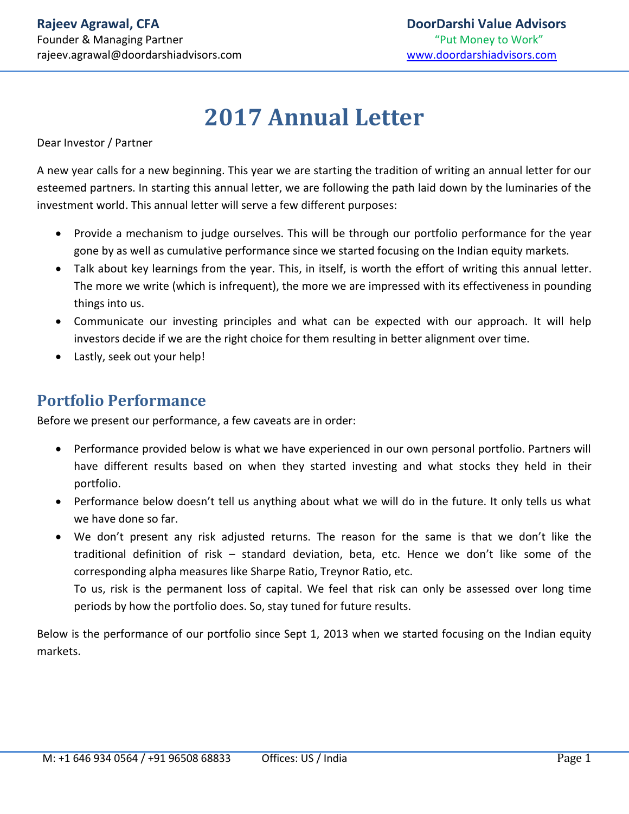# **2017 Annual Letter**

Dear Investor / Partner

A new year calls for a new beginning. This year we are starting the tradition of writing an annual letter for our esteemed partners. In starting this annual letter, we are following the path laid down by the luminaries of the investment world. This annual letter will serve a few different purposes:

- Provide a mechanism to judge ourselves. This will be through our portfolio performance for the year gone by as well as cumulative performance since we started focusing on the Indian equity markets.
- Talk about key learnings from the year. This, in itself, is worth the effort of writing this annual letter. The more we write (which is infrequent), the more we are impressed with its effectiveness in pounding things into us.
- Communicate our investing principles and what can be expected with our approach. It will help investors decide if we are the right choice for them resulting in better alignment over time.
- Lastly, seek out your help!

## **Portfolio Performance**

Before we present our performance, a few caveats are in order:

- Performance provided below is what we have experienced in our own personal portfolio. Partners will have different results based on when they started investing and what stocks they held in their portfolio.
- Performance below doesn't tell us anything about what we will do in the future. It only tells us what we have done so far.
- We don't present any risk adjusted returns. The reason for the same is that we don't like the traditional definition of risk – standard deviation, beta, etc. Hence we don't like some of the corresponding alpha measures like Sharpe Ratio, Treynor Ratio, etc.

To us, risk is the permanent loss of capital. We feel that risk can only be assessed over long time periods by how the portfolio does. So, stay tuned for future results.

Below is the performance of our portfolio since Sept 1, 2013 when we started focusing on the Indian equity markets.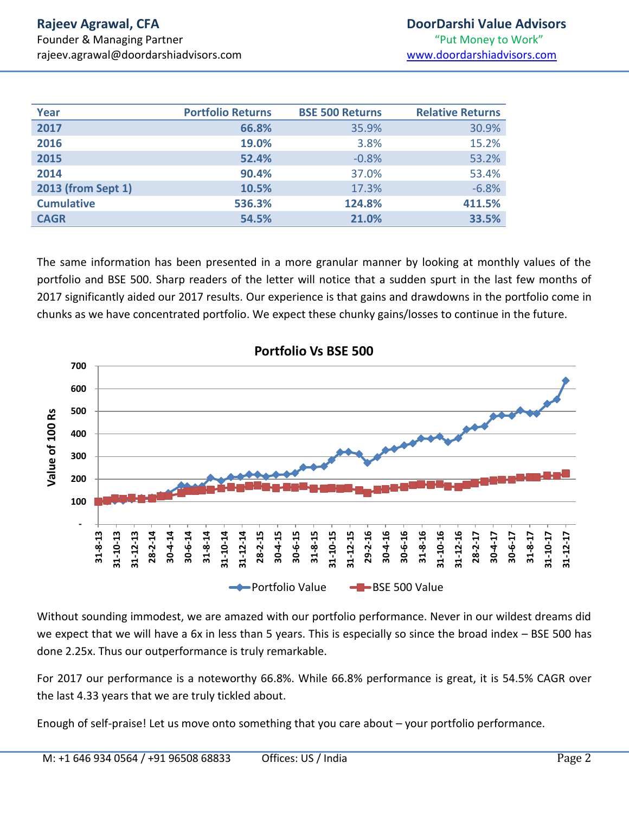| Year               | <b>Portfolio Returns</b> | <b>BSE 500 Returns</b> | <b>Relative Returns</b> |
|--------------------|--------------------------|------------------------|-------------------------|
| 2017               | 66.8%                    | 35.9%                  | 30.9%                   |
| 2016               | 19.0%                    | 3.8%                   | 15.2%                   |
| 2015               | 52.4%                    | $-0.8%$                | 53.2%                   |
| 2014               | 90.4%                    | 37.0%                  | 53.4%                   |
| 2013 (from Sept 1) | 10.5%                    | 17.3%                  | $-6.8%$                 |
| <b>Cumulative</b>  | 536.3%                   | 124.8%                 | 411.5%                  |
| <b>CAGR</b>        | 54.5%                    | 21.0%                  | 33.5%                   |

The same information has been presented in a more granular manner by looking at monthly values of the portfolio and BSE 500. Sharp readers of the letter will notice that a sudden spurt in the last few months of 2017 significantly aided our 2017 results. Our experience is that gains and drawdowns in the portfolio come in chunks as we have concentrated portfolio. We expect these chunky gains/losses to continue in the future.



Without sounding immodest, we are amazed with our portfolio performance. Never in our wildest dreams did we expect that we will have a 6x in less than 5 years. This is especially so since the broad index – BSE 500 has done 2.25x. Thus our outperformance is truly remarkable.

For 2017 our performance is a noteworthy 66.8%. While 66.8% performance is great, it is 54.5% CAGR over the last 4.33 years that we are truly tickled about.

Enough of self-praise! Let us move onto something that you care about – your portfolio performance.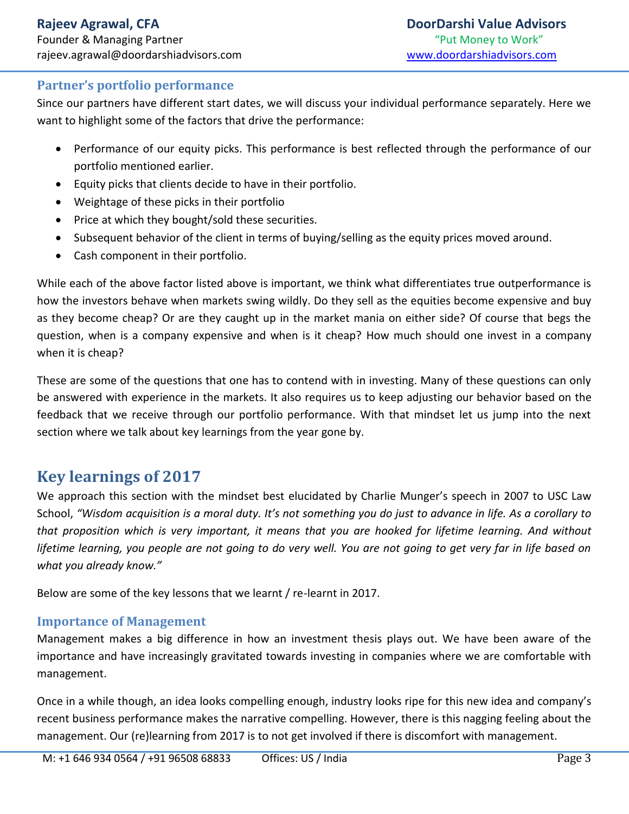#### **Partner's portfolio performance**

Since our partners have different start dates, we will discuss your individual performance separately. Here we want to highlight some of the factors that drive the performance:

- Performance of our equity picks. This performance is best reflected through the performance of our portfolio mentioned earlier.
- Equity picks that clients decide to have in their portfolio.
- Weightage of these picks in their portfolio
- Price at which they bought/sold these securities.
- Subsequent behavior of the client in terms of buying/selling as the equity prices moved around.
- Cash component in their portfolio.

While each of the above factor listed above is important, we think what differentiates true outperformance is how the investors behave when markets swing wildly. Do they sell as the equities become expensive and buy as they become cheap? Or are they caught up in the market mania on either side? Of course that begs the question, when is a company expensive and when is it cheap? How much should one invest in a company when it is cheap?

These are some of the questions that one has to contend with in investing. Many of these questions can only be answered with experience in the markets. It also requires us to keep adjusting our behavior based on the feedback that we receive through our portfolio performance. With that mindset let us jump into the next section where we talk about key learnings from the year gone by.

# **Key learnings of 2017**

We approach this section with the mindset best elucidated by Charlie Munger's speech in 2007 to USC Law School, *"Wisdom acquisition is a moral duty. It's not something you do just to advance in life. As a corollary to that proposition which is very important, it means that you are hooked for lifetime learning. And without lifetime learning, you people are not going to do very well. You are not going to get very far in life based on what you already know."*

Below are some of the key lessons that we learnt / re-learnt in 2017.

#### **Importance of Management**

Management makes a big difference in how an investment thesis plays out. We have been aware of the importance and have increasingly gravitated towards investing in companies where we are comfortable with management.

Once in a while though, an idea looks compelling enough, industry looks ripe for this new idea and company's recent business performance makes the narrative compelling. However, there is this nagging feeling about the management. Our (re)learning from 2017 is to not get involved if there is discomfort with management.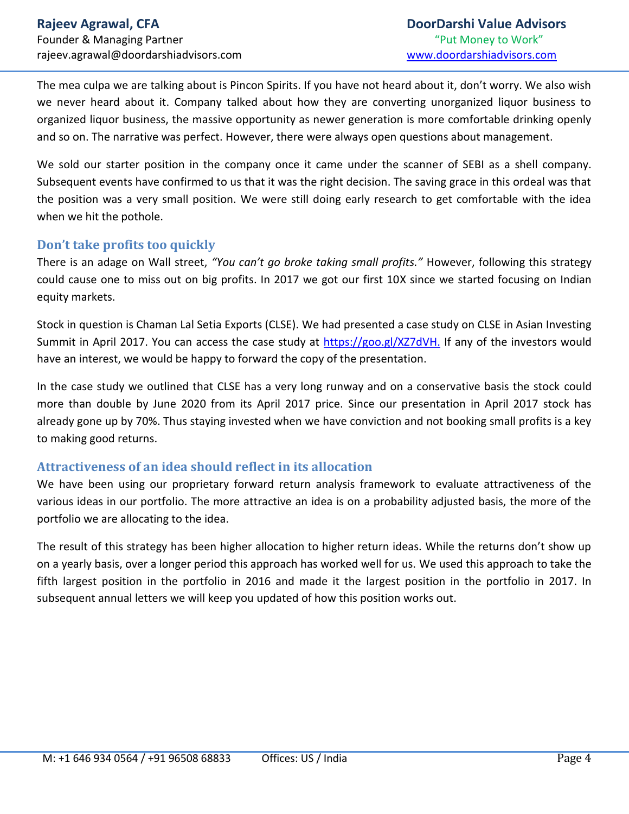The mea culpa we are talking about is Pincon Spirits. If you have not heard about it, don't worry. We also wish we never heard about it. Company talked about how they are converting unorganized liquor business to organized liquor business, the massive opportunity as newer generation is more comfortable drinking openly and so on. The narrative was perfect. However, there were always open questions about management.

We sold our starter position in the company once it came under the scanner of SEBI as a shell company. Subsequent events have confirmed to us that it was the right decision. The saving grace in this ordeal was that the position was a very small position. We were still doing early research to get comfortable with the idea when we hit the pothole.

#### **Don't take profits too quickly**

There is an adage on Wall street, *"You can't go broke taking small profits."* However, following this strategy could cause one to miss out on big profits. In 2017 we got our first 10X since we started focusing on Indian equity markets.

Stock in question is Chaman Lal Setia Exports (CLSE). We had presented a case study on CLSE in Asian Investing Summit in April 2017. You can access the case study at [https://goo.gl/XZ7dVH.](https://goo.gl/XZ7dVH) If any of the investors would have an interest, we would be happy to forward the copy of the presentation.

In the case study we outlined that CLSE has a very long runway and on a conservative basis the stock could more than double by June 2020 from its April 2017 price. Since our presentation in April 2017 stock has already gone up by 70%. Thus staying invested when we have conviction and not booking small profits is a key to making good returns.

#### **Attractiveness of an idea should reflect in its allocation**

We have been using our proprietary forward return analysis framework to evaluate attractiveness of the various ideas in our portfolio. The more attractive an idea is on a probability adjusted basis, the more of the portfolio we are allocating to the idea.

The result of this strategy has been higher allocation to higher return ideas. While the returns don't show up on a yearly basis, over a longer period this approach has worked well for us. We used this approach to take the fifth largest position in the portfolio in 2016 and made it the largest position in the portfolio in 2017. In subsequent annual letters we will keep you updated of how this position works out.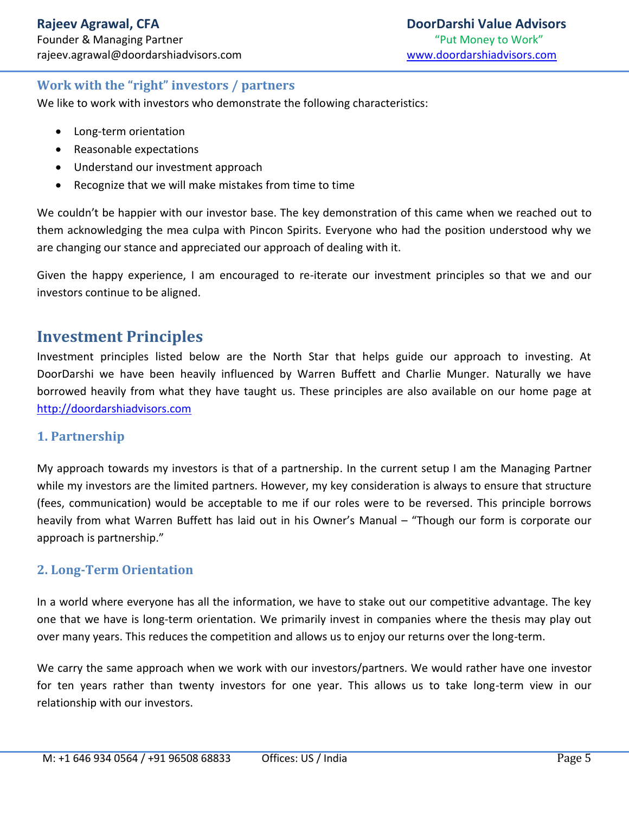#### **Work with the "right" investors / partners**

We like to work with investors who demonstrate the following characteristics:

- Long-term orientation
- Reasonable expectations
- Understand our investment approach
- Recognize that we will make mistakes from time to time

We couldn't be happier with our investor base. The key demonstration of this came when we reached out to them acknowledging the mea culpa with Pincon Spirits. Everyone who had the position understood why we are changing our stance and appreciated our approach of dealing with it.

Given the happy experience, I am encouraged to re-iterate our investment principles so that we and our investors continue to be aligned.

### **Investment Principles**

Investment principles listed below are the North Star that helps guide our approach to investing. At DoorDarshi we have been heavily influenced by Warren Buffett and Charlie Munger. Naturally we have borrowed heavily from what they have taught us. These principles are also available on our home page at [http://doordarshiadvisors.com](http://doordarshiadvisors.com/)

#### **1. Partnership**

My approach towards my investors is that of a partnership. In the current setup I am the Managing Partner while my investors are the limited partners. However, my key consideration is always to ensure that structure (fees, communication) would be acceptable to me if our roles were to be reversed. This principle borrows heavily from what Warren Buffett has laid out in his Owner's Manual – "Though our form is corporate our approach is partnership."

#### **2. Long-Term Orientation**

In a world where everyone has all the information, we have to stake out our competitive advantage. The key one that we have is long-term orientation. We primarily invest in companies where the thesis may play out over many years. This reduces the competition and allows us to enjoy our returns over the long-term.

We carry the same approach when we work with our investors/partners. We would rather have one investor for ten years rather than twenty investors for one year. This allows us to take long-term view in our relationship with our investors.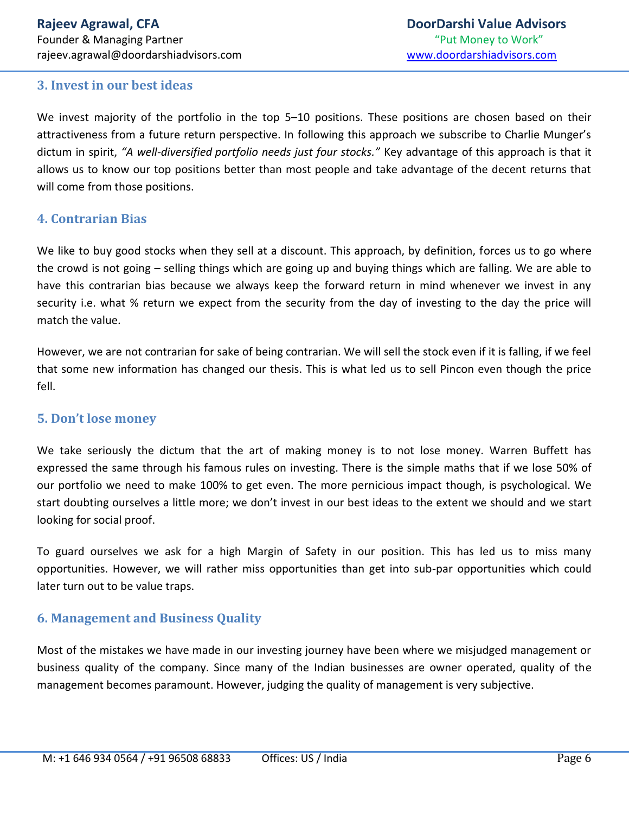#### **3. Invest in our best ideas**

We invest majority of the portfolio in the top 5–10 positions. These positions are chosen based on their attractiveness from a future return perspective. In following this approach we subscribe to Charlie Munger's dictum in spirit, *"A well-diversified portfolio needs just four stocks."* Key advantage of this approach is that it allows us to know our top positions better than most people and take advantage of the decent returns that will come from those positions.

#### **4. Contrarian Bias**

We like to buy good stocks when they sell at a discount. This approach, by definition, forces us to go where the crowd is not going – selling things which are going up and buying things which are falling. We are able to have this contrarian bias because we always keep the forward return in mind whenever we invest in any security i.e. what % return we expect from the security from the day of investing to the day the price will match the value.

However, we are not contrarian for sake of being contrarian. We will sell the stock even if it is falling, if we feel that some new information has changed our thesis. This is what led us to sell Pincon even though the price fell.

#### **5. Don't lose money**

We take seriously the dictum that the art of making money is to not lose money. Warren Buffett has expressed the same through his famous rules on investing. There is the simple maths that if we lose 50% of our portfolio we need to make 100% to get even. The more pernicious impact though, is psychological. We start doubting ourselves a little more; we don't invest in our best ideas to the extent we should and we start looking for social proof.

To guard ourselves we ask for a high Margin of Safety in our position. This has led us to miss many opportunities. However, we will rather miss opportunities than get into sub-par opportunities which could later turn out to be value traps.

#### **6. Management and Business Quality**

Most of the mistakes we have made in our investing journey have been where we misjudged management or business quality of the company. Since many of the Indian businesses are owner operated, quality of the management becomes paramount. However, judging the quality of management is very subjective.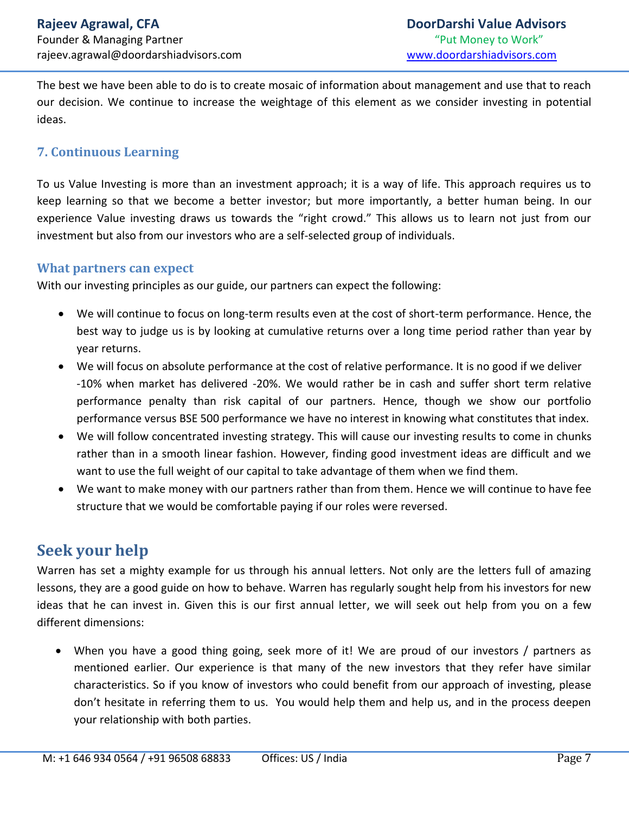The best we have been able to do is to create mosaic of information about management and use that to reach our decision. We continue to increase the weightage of this element as we consider investing in potential ideas.

#### **7. Continuous Learning**

To us Value Investing is more than an investment approach; it is a way of life. This approach requires us to keep learning so that we become a better investor; but more importantly, a better human being. In our experience Value investing draws us towards the "right crowd." This allows us to learn not just from our investment but also from our investors who are a self-selected group of individuals.

#### **What partners can expect**

With our investing principles as our guide, our partners can expect the following:

- We will continue to focus on long-term results even at the cost of short-term performance. Hence, the best way to judge us is by looking at cumulative returns over a long time period rather than year by year returns.
- We will focus on absolute performance at the cost of relative performance. It is no good if we deliver -10% when market has delivered -20%. We would rather be in cash and suffer short term relative performance penalty than risk capital of our partners. Hence, though we show our portfolio performance versus BSE 500 performance we have no interest in knowing what constitutes that index.
- We will follow concentrated investing strategy. This will cause our investing results to come in chunks rather than in a smooth linear fashion. However, finding good investment ideas are difficult and we want to use the full weight of our capital to take advantage of them when we find them.
- We want to make money with our partners rather than from them. Hence we will continue to have fee structure that we would be comfortable paying if our roles were reversed.

## **Seek your help**

Warren has set a mighty example for us through his annual letters. Not only are the letters full of amazing lessons, they are a good guide on how to behave. Warren has regularly sought help from his investors for new ideas that he can invest in. Given this is our first annual letter, we will seek out help from you on a few different dimensions:

 When you have a good thing going, seek more of it! We are proud of our investors / partners as mentioned earlier. Our experience is that many of the new investors that they refer have similar characteristics. So if you know of investors who could benefit from our approach of investing, please don't hesitate in referring them to us. You would help them and help us, and in the process deepen your relationship with both parties.